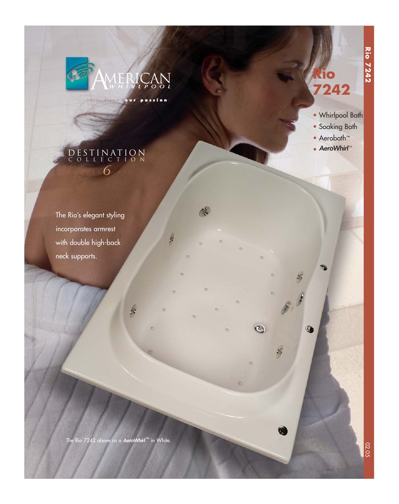

your dream [ **our passion** ]

 $\mathscr{C}$ 

h



**Rio 7242**

**Rio 7242** 

- Whirlpool Bath
- Soaking Bath
- Aerobath™

**D** 

0

 $\odot$ 

Y

• AeroWhirl™

# $s$  eri  $6$  six DESTINATION COLLECTION

The Rio's elegant styling incorporates armrest with double high-back neck supports.

The Rio 7242 above as a AeroWhirl™ in White.

f.